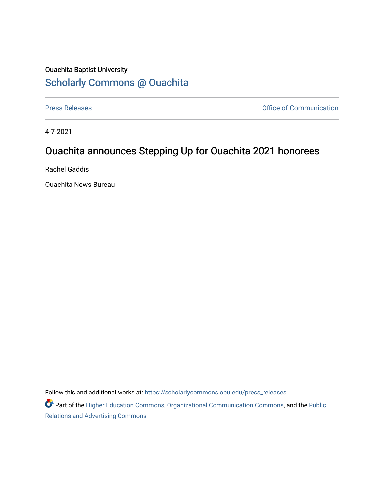## Ouachita Baptist University [Scholarly Commons @ Ouachita](https://scholarlycommons.obu.edu/)

[Press Releases](https://scholarlycommons.obu.edu/press_releases) **Press Releases Communication** 

4-7-2021

## Ouachita announces Stepping Up for Ouachita 2021 honorees

Rachel Gaddis

Ouachita News Bureau

Follow this and additional works at: [https://scholarlycommons.obu.edu/press\\_releases](https://scholarlycommons.obu.edu/press_releases?utm_source=scholarlycommons.obu.edu%2Fpress_releases%2F786&utm_medium=PDF&utm_campaign=PDFCoverPages)

Part of the [Higher Education Commons,](http://network.bepress.com/hgg/discipline/1245?utm_source=scholarlycommons.obu.edu%2Fpress_releases%2F786&utm_medium=PDF&utm_campaign=PDFCoverPages) [Organizational Communication Commons,](http://network.bepress.com/hgg/discipline/335?utm_source=scholarlycommons.obu.edu%2Fpress_releases%2F786&utm_medium=PDF&utm_campaign=PDFCoverPages) and the [Public](http://network.bepress.com/hgg/discipline/336?utm_source=scholarlycommons.obu.edu%2Fpress_releases%2F786&utm_medium=PDF&utm_campaign=PDFCoverPages) [Relations and Advertising Commons](http://network.bepress.com/hgg/discipline/336?utm_source=scholarlycommons.obu.edu%2Fpress_releases%2F786&utm_medium=PDF&utm_campaign=PDFCoverPages)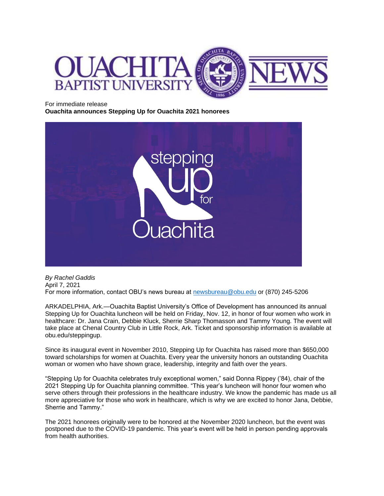

For immediate release

**Ouachita announces Stepping Up for Ouachita 2021 honorees**



*By Rachel Gaddis* April 7, 2021 For more information, contact OBU's news bureau at [newsbureau@obu.edu](mailto:newsbureau@obu.edu) or (870) 245-5206

ARKADELPHIA, Ark.—Ouachita Baptist University's Office of Development has announced its annual Stepping Up for Ouachita luncheon will be held on Friday, Nov. 12, in honor of four women who work in healthcare: Dr. Jana Crain, Debbie Kluck, Sherrie Sharp Thomasson and Tammy Young. The event will take place at Chenal Country Club in Little Rock, Ark. Ticket and sponsorship information is available at obu.edu/steppingup.

Since its inaugural event in November 2010, Stepping Up for Ouachita has raised more than \$650,000 toward scholarships for women at Ouachita. Every year the university honors an outstanding Ouachita woman or women who have shown grace, leadership, integrity and faith over the years.

"Stepping Up for Ouachita celebrates truly exceptional women," said Donna Rippey ('84), chair of the 2021 Stepping Up for Ouachita planning committee. "This year's luncheon will honor four women who serve others through their professions in the healthcare industry. We know the pandemic has made us all more appreciative for those who work in healthcare, which is why we are excited to honor Jana, Debbie, Sherrie and Tammy."

The 2021 honorees originally were to be honored at the November 2020 luncheon, but the event was postponed due to the COVID-19 pandemic. This year's event will be held in person pending approvals from health authorities.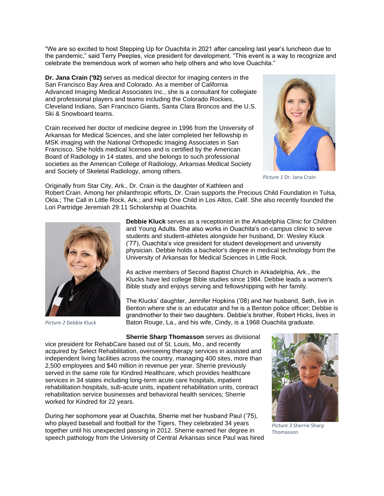"We are so excited to host Stepping Up for Ouachita in 2021 after canceling last year's luncheon due to the pandemic," said Terry Peeples, vice president for development. "This event is a way to recognize and celebrate the tremendous work of women who help others and who love Ouachita."

**Dr. Jana Crain ('92)** serves as medical director for imaging centers in the San Francisco Bay Area and Colorado. As a member of California Advanced Imaging Medical Associates Inc., she is a consultant for collegiate and professional players and teams including the Colorado Rockies, Cleveland Indians, San Francisco Giants, Santa Clara Broncos and the U.S. Ski & Snowboard teams.

Crain received her doctor of medicine degree in 1996 from the University of Arkansas for Medical Sciences, and she later completed her fellowship in MSK imaging with the National Orthopedic Imaging Associates in San Francisco. She holds medical licenses and is certified by the American Board of Radiology in 14 states, and she belongs to such professional societies as the American College of Radiology, Arkansas Medical Society and Society of Skeletal Radiology, among others.



*Picture 1* Dr. Jana Crain

Originally from Star City, Ark., Dr. Crain is the daughter of Kathleen and

Robert Crain. Among her philanthropic efforts, Dr. Crain supports the Precious Child Foundation in Tulsa, Okla.; The Call in Little Rock, Ark.; and Help One Child in Los Altos, Calif. She also recently founded the Lori Partridge Jeremiah 29:11 Scholarship at Ouachita.



*Picture 2* Debbie Kluck

**Debbie Kluck** serves as a receptionist in the Arkadelphia Clinic for Children and Young Adults. She also works in Ouachita's on-campus clinic to serve students and student-athletes alongside her husband, Dr. Wesley Kluck ('77), Ouachita's vice president for student development and university physician. Debbie holds a bachelor's degree in medical technology from the University of Arkansas for Medical Sciences in Little Rock.

As active members of Second Baptist Church in Arkadelphia, Ark., the Klucks have led college Bible studies since 1984. Debbie leads a women's Bible study and enjoys serving and fellowshipping with her family.

The Klucks' daughter, Jennifer Hopkins ('08) and her husband, Seth, live in Benton where she is an educator and he is a Benton police officer; Debbie is grandmother to their two daughters. Debbie's brother, Robert Hicks, lives in Baton Rouge, La., and his wife, Cindy, is a 1968 Ouachita graduate.

**Sherrie Sharp Thomasson** serves as divisional

vice president for RehabCare based out of St. Louis, Mo., and recently acquired by Select Rehabilitation, overseeing therapy services in assisted and independent living facilities across the country, managing 400 sites, more than 2,500 employees and \$40 million in revenue per year. Sherrie previously served in the same role for Kindred Healthcare, which provides healthcare services in 34 states including long-term acute care hospitals, inpatient rehabilitation hospitals, sub-acute units, inpatient rehabilitation units, contract rehabilitation service businesses and behavioral health services; Sherrie worked for Kindred for 22 years.

During her sophomore year at Ouachita, Sherrie met her husband Paul ('75), who played baseball and football for the Tigers. They celebrated 34 years together until his unexpected passing in 2012. Sherrie earned her degree in speech pathology from the University of Central Arkansas since Paul was hired



*Picture 3* Sherrie Sharp Thomasson